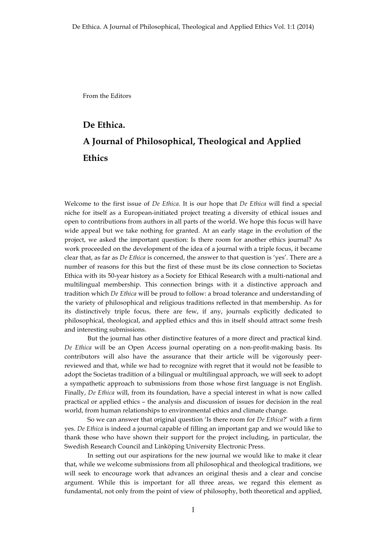From the Editors

## **De Ethica. A Journal of Philosophical, Theological and Applied Ethics**

Welcome to the first issue of *De Ethica.* It is our hope that *De Ethica* will find a special niche for itself as a European-initiated project treating a diversity of ethical issues and open to contributions from authors in all parts of the world. We hope this focus will have wide appeal but we take nothing for granted. At an early stage in the evolution of the project, we asked the important question: Is there room for another ethics journal? As work proceeded on the development of the idea of a journal with a triple focus, it became clear that, as far as *De Ethica* is concerned, the answer to that question is 'yes'. There are a number of reasons for this but the first of these must be its close connection to Societas Ethica with its 50-year history as a Society for Ethical Research with a multi-national and multilingual membership. This connection brings with it a distinctive approach and tradition which *De Ethica* will be proud to follow: a broad tolerance and understanding of the variety of philosophical and religious traditions reflected in that membership. As for its distinctively triple focus, there are few, if any, journals explicitly dedicated to philosophical, theological, and applied ethics and this in itself should attract some fresh and interesting submissions.

But the journal has other distinctive features of a more direct and practical kind. *De Ethica* will be an Open Access journal operating on a non-profit-making basis. Its contributors will also have the assurance that their article will be vigorously peerreviewed and that, while we had to recognize with regret that it would not be feasible to adopt the Societas tradition of a bilingual or multilingual approach, we will seek to adopt a sympathetic approach to submissions from those whose first language is not English. Finally, *De Ethica* will, from its foundation, have a special interest in what is now called practical or applied ethics – the analysis and discussion of issues for decision in the real world, from human relationships to environmental ethics and climate change.

So we can answer that original question 'Is there room for *De Ethica*?' with a firm yes. *De Ethica* is indeed a journal capable of filling an important gap and we would like to thank those who have shown their support for the project including, in particular, the Swedish Research Council and Linköping University Electronic Press.

In setting out our aspirations for the new journal we would like to make it clear that, while we welcome submissions from all philosophical and theological traditions, we will seek to encourage work that advances an original thesis and a clear and concise argument*.* While this is important for all three areas, we regard this element as fundamental, not only from the point of view of philosophy, both theoretical and applied,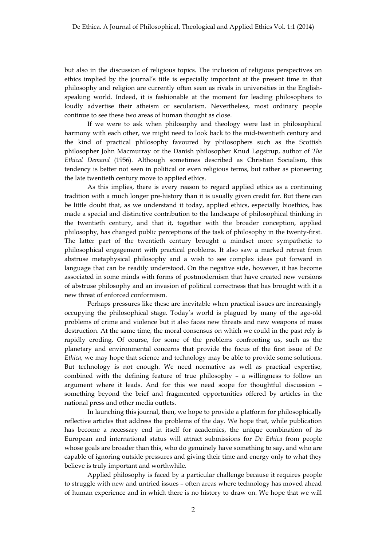but also in the discussion of religious topics. The inclusion of religious perspectives on ethics implied by the journal's title is especially important at the present time in that philosophy and religion are currently often seen as rivals in universities in the Englishspeaking world. Indeed, it is fashionable at the moment for leading philosophers to loudly advertise their atheism or secularism. Nevertheless, most ordinary people continue to see these two areas of human thought as close.

If we were to ask when philosophy and theology were last in philosophical harmony with each other, we might need to look back to the mid-twentieth century and the kind of practical philosophy favoured by philosophers such as the Scottish philosopher John Macmurray or the Danish philosopher Knud Løgstrup, author of *The Ethical Demand* (1956). Although sometimes described as Christian Socialism, this tendency is better not seen in political or even religious terms, but rather as pioneering the late twentieth century move to applied ethics.

As this implies, there is every reason to regard applied ethics as a continuing tradition with a much longer pre-history than it is usually given credit for. But there can be little doubt that, as we understand it today, applied ethics, especially bioethics, has made a special and distinctive contribution to the landscape of philosophical thinking in the twentieth century, and that it, together with the broader conception, applied philosophy, has changed public perceptions of the task of philosophy in the twenty-first. The latter part of the twentieth century brought a mindset more sympathetic to philosophical engagement with practical problems. It also saw a marked retreat from abstruse metaphysical philosophy and a wish to see complex ideas put forward in language that can be readily understood. On the negative side, however, it has become associated in some minds with forms of postmodernism that have created new versions of abstruse philosophy and an invasion of political correctness that has brought with it a new threat of enforced conformism.

Perhaps pressures like these are inevitable when practical issues are increasingly occupying the philosophical stage. Today's world is plagued by many of the age-old problems of crime and violence but it also faces new threats and new weapons of mass destruction. At the same time, the moral consensus on which we could in the past rely is rapidly eroding. Of course, for some of the problems confronting us, such as the planetary and environmental concerns that provide the focus of the first issue of *De Ethica,* we may hope that science and technology may be able to provide some solutions. But technology is not enough. We need normative as well as practical expertise, combined with the defining feature of true philosophy – a willingness to follow an argument where it leads. And for this we need scope for thoughtful discussion – something beyond the brief and fragmented opportunities offered by articles in the national press and other media outlets.

In launching this journal, then, we hope to provide a platform for philosophically reflective articles that address the problems of the day. We hope that, while publication has become a necessary end in itself for academics, the unique combination of its European and international status will attract submissions for *De Ethica* from people whose goals are broader than this, who do genuinely have something to say, and who are capable of ignoring outside pressures and giving their time and energy only to what they believe is truly important and worthwhile.

Applied philosophy is faced by a particular challenge because it requires people to struggle with new and untried issues – often areas where technology has moved ahead of human experience and in which there is no history to draw on. We hope that we will